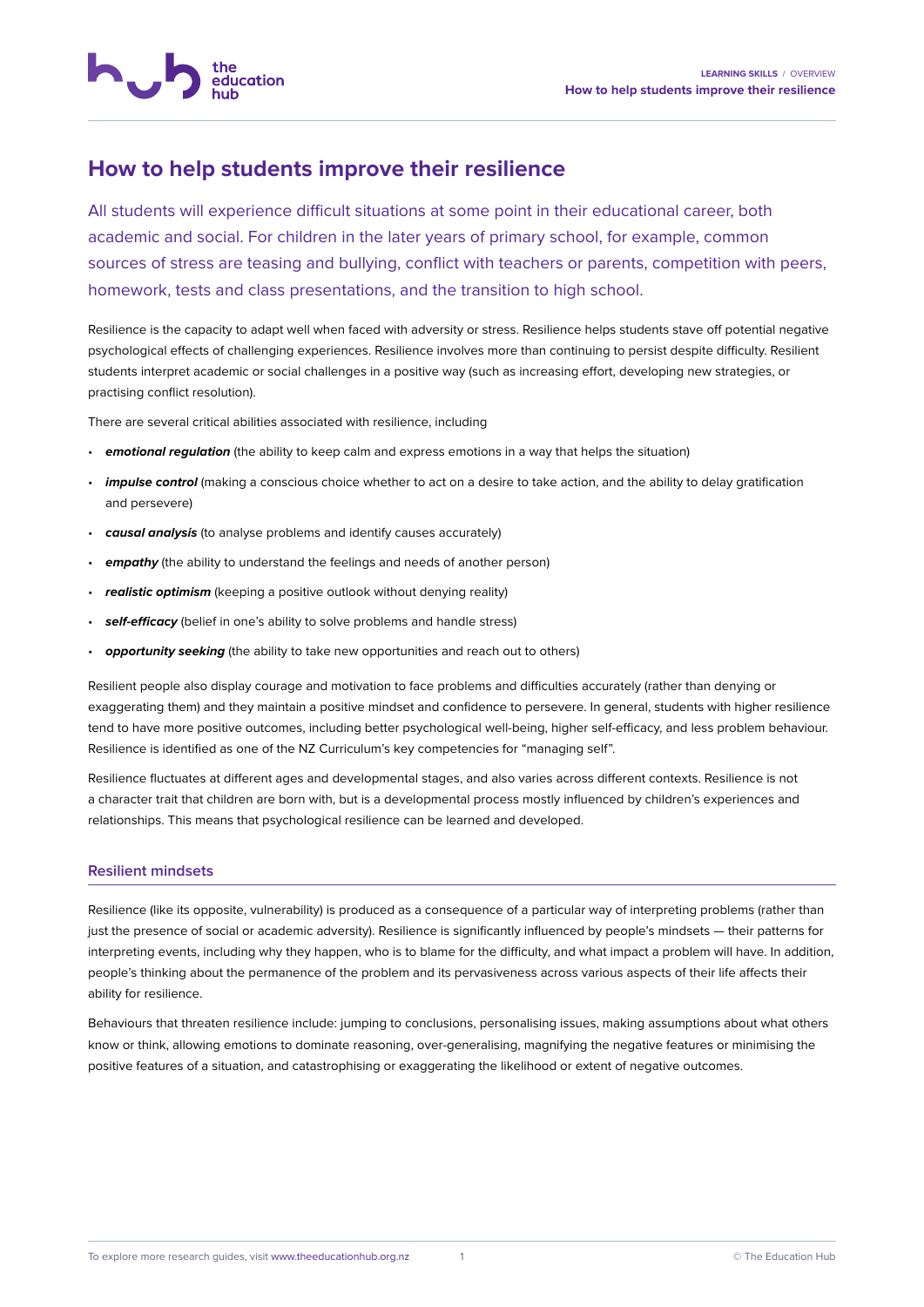

education

All students will experience difficult situations at some point in their educational career, both academic and social. For children in the later years of primary school, for example, common sources of stress are teasing and bullying, conflict with teachers or parents, competition with peers, homework, tests and class presentations, and the transition to high school.

Resilience is the capacity to adapt well when faced with adversity or stress. Resilience helps students stave off potential negative psychological effects of challenging experiences. Resilience involves more than continuing to persist despite difficulty. Resilient students interpret academic or social challenges in a positive way (such as increasing effort, developing new strategies, or practising conflict resolution).

There are several critical abilities associated with resilience, including

- *emotional regulation* (the ability to keep calm and express emotions in a way that helps the situation)
- *impulse control* (making a conscious choice whether to act on a desire to take action, and the ability to delay gratification and persevere)
- *causal analysis* (to analyse problems and identify causes accurately)
- *empathy* (the ability to understand the feelings and needs of another person)
- *realistic optimism* (keeping a positive outlook without denying reality)
- **self-efficacy** (belief in one's ability to solve problems and handle stress)
- **opportunity seeking** (the ability to take new opportunities and reach out to others)

Resilient people also display courage and motivation to face problems and difficulties accurately (rather than denying or exaggerating them) and they maintain a positive mindset and confidence to persevere. In general, students with higher resilience tend to have more positive outcomes, including better psychological well-being, higher self-efficacy, and less problem behaviour. Resilience is identified as one of the NZ Curriculum's key competencies for "managing self".

Resilience fluctuates at different ages and developmental stages, and also varies across different contexts. Resilience is not a character trait that children are born with, but is a developmental process mostly influenced by children's experiences and relationships. This means that psychological resilience can be learned and developed.

#### **Resilient mindsets**

Resilience (like its opposite, vulnerability) is produced as a consequence of a particular way of interpreting problems (rather than just the presence of social or academic adversity). Resilience is significantly influenced by people's mindsets — their patterns for interpreting events, including why they happen, who is to blame for the difficulty, and what impact a problem will have. In addition, people's thinking about the permanence of the problem and its pervasiveness across various aspects of their life affects their ability for resilience.

Behaviours that threaten resilience include: jumping to conclusions, personalising issues, making assumptions about what others know or think, allowing emotions to dominate reasoning, over-generalising, magnifying the negative features or minimising the positive features of a situation, and catastrophising or exaggerating the likelihood or extent of negative outcomes.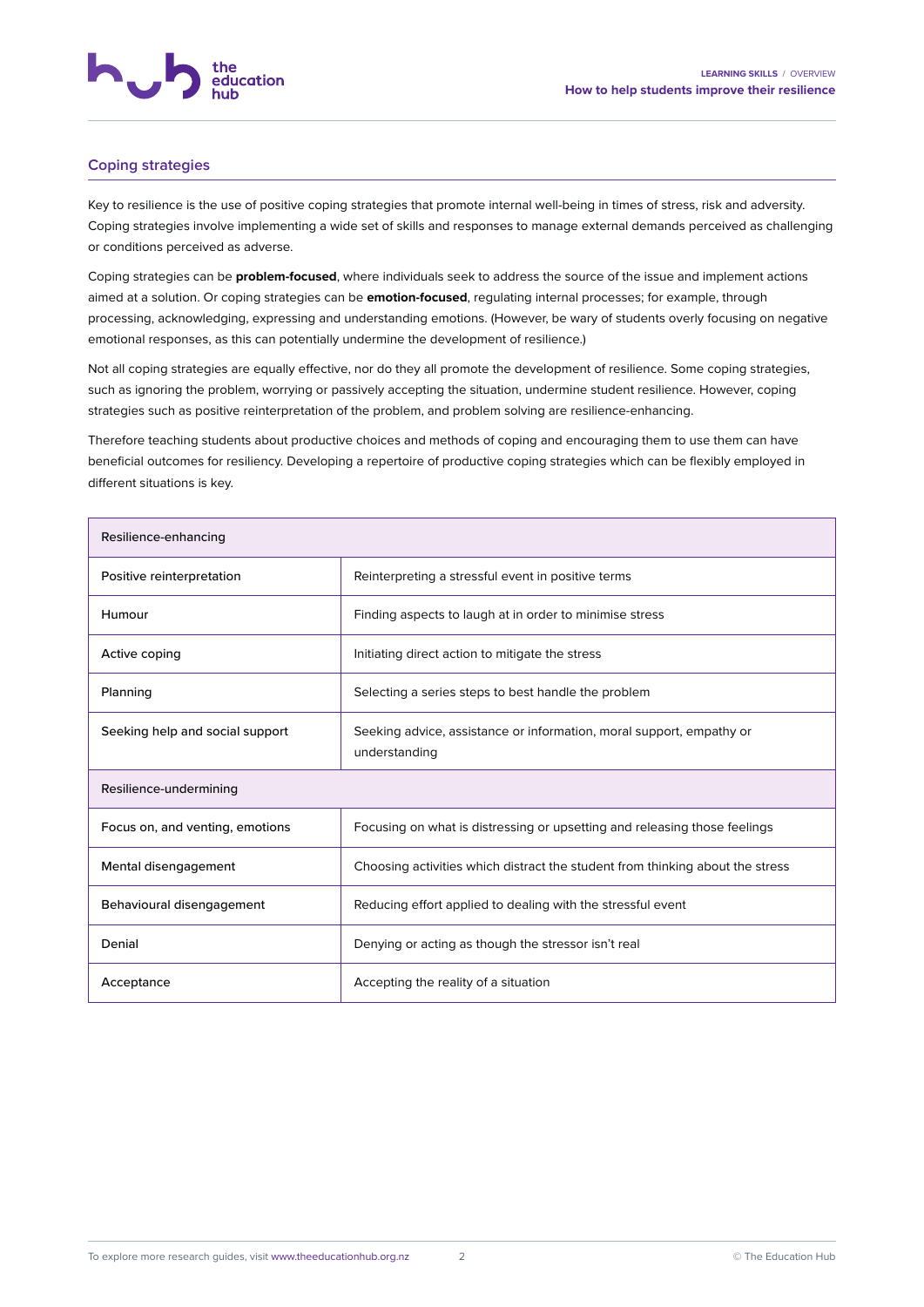## **Coping strategies**

Key to resilience is the use of positive coping strategies that promote internal well-being in times of stress, risk and adversity. Coping strategies involve implementing a wide set of skills and responses to manage external demands perceived as challenging or conditions perceived as adverse.

Coping strategies can be **problem-focused**, where individuals seek to address the source of the issue and implement actions aimed at a solution. Or coping strategies can be **emotion-focused**, regulating internal processes; for example, through processing, acknowledging, expressing and understanding emotions. (However, be wary of students overly focusing on negative emotional responses, as this can potentially undermine the development of resilience.)

Not all coping strategies are equally effective, nor do they all promote the development of resilience. Some coping strategies, such as ignoring the problem, worrying or passively accepting the situation, undermine student resilience. However, coping strategies such as positive reinterpretation of the problem, and problem solving are resilience-enhancing.

Therefore teaching students about productive choices and methods of coping and encouraging them to use them can have beneficial outcomes for resiliency. Developing a repertoire of productive coping strategies which can be flexibly employed in different situations is key.

| Resilience-enhancing            |                                                                                       |
|---------------------------------|---------------------------------------------------------------------------------------|
| Positive reinterpretation       | Reinterpreting a stressful event in positive terms                                    |
| Humour                          | Finding aspects to laugh at in order to minimise stress                               |
| Active coping                   | Initiating direct action to mitigate the stress                                       |
| Planning                        | Selecting a series steps to best handle the problem                                   |
| Seeking help and social support | Seeking advice, assistance or information, moral support, empathy or<br>understanding |
| Resilience-undermining          |                                                                                       |
| Focus on, and venting, emotions | Focusing on what is distressing or upsetting and releasing those feelings             |
| Mental disengagement            | Choosing activities which distract the student from thinking about the stress         |
| Behavioural disengagement       | Reducing effort applied to dealing with the stressful event                           |
| Denial                          | Denying or acting as though the stressor isn't real                                   |
| Acceptance                      | Accepting the reality of a situation                                                  |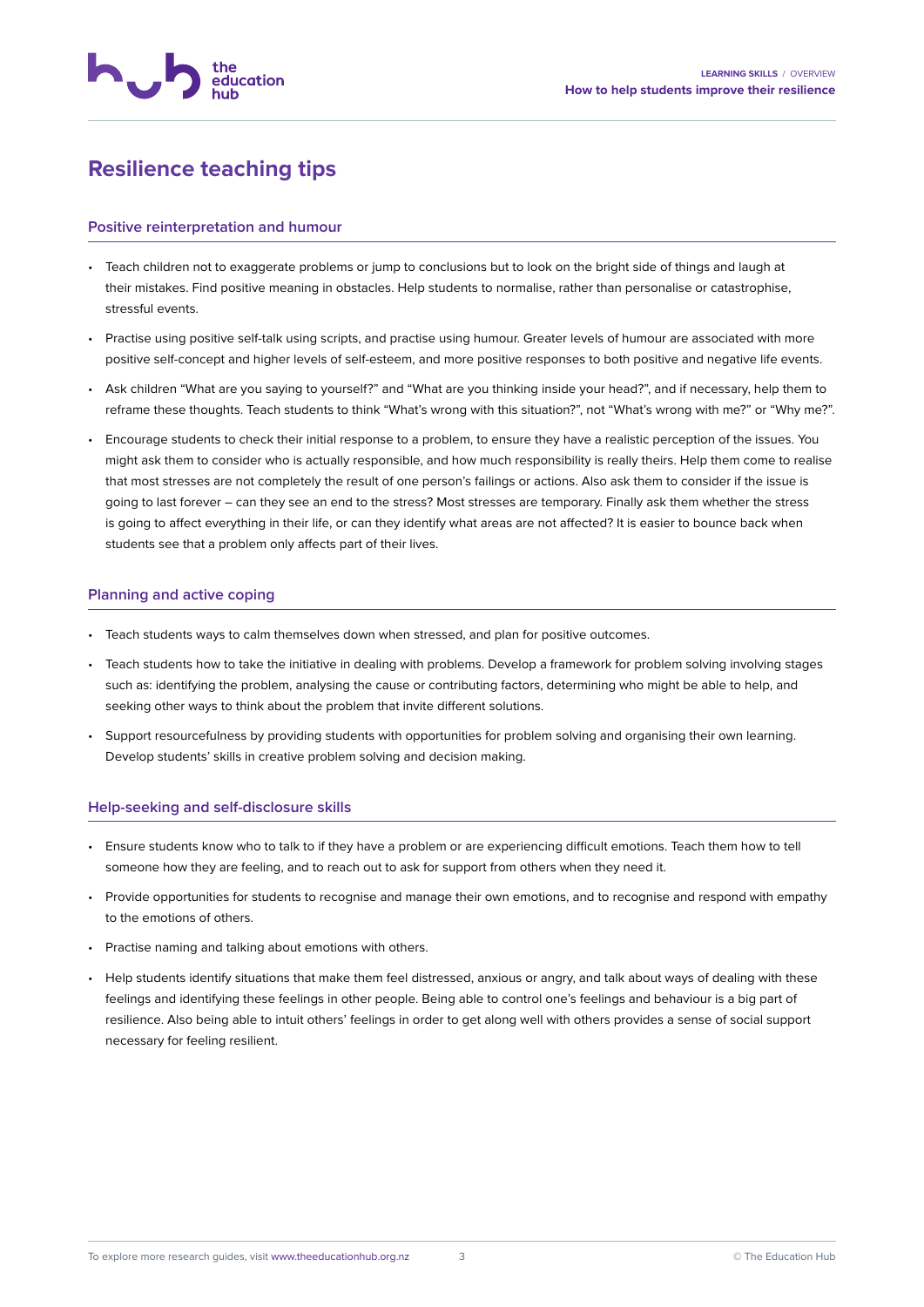

# **Resilience teaching tips**

#### **Positive reinterpretation and humour**

- Teach children not to exaggerate problems or jump to conclusions but to look on the bright side of things and laugh at their mistakes. Find positive meaning in obstacles. Help students to normalise, rather than personalise or catastrophise, stressful events.
- Practise using positive self-talk using scripts, and practise using humour. Greater levels of humour are associated with more positive self-concept and higher levels of self-esteem, and more positive responses to both positive and negative life events.
- Ask children "What are you saying to yourself?" and "What are you thinking inside your head?", and if necessary, help them to reframe these thoughts. Teach students to think "What's wrong with this situation?", not "What's wrong with me?" or "Why me?".
- Encourage students to check their initial response to a problem, to ensure they have a realistic perception of the issues. You might ask them to consider who is actually responsible, and how much responsibility is really theirs. Help them come to realise that most stresses are not completely the result of one person's failings or actions. Also ask them to consider if the issue is going to last forever – can they see an end to the stress? Most stresses are temporary. Finally ask them whether the stress is going to affect everything in their life, or can they identify what areas are not affected? It is easier to bounce back when students see that a problem only affects part of their lives.

#### **Planning and active coping**

- Teach students ways to calm themselves down when stressed, and plan for positive outcomes.
- Teach students how to take the initiative in dealing with problems. Develop a framework for problem solving involving stages such as: identifying the problem, analysing the cause or contributing factors, determining who might be able to help, and seeking other ways to think about the problem that invite different solutions.
- Support resourcefulness by providing students with opportunities for problem solving and organising their own learning. Develop students' skills in creative problem solving and decision making.

### **Help-seeking and self-disclosure skills**

- Ensure students know who to talk to if they have a problem or are experiencing difficult emotions. Teach them how to tell someone how they are feeling, and to reach out to ask for support from others when they need it.
- Provide opportunities for students to recognise and manage their own emotions, and to recognise and respond with empathy to the emotions of others.
- Practise naming and talking about emotions with others.
- Help students identify situations that make them feel distressed, anxious or angry, and talk about ways of dealing with these feelings and identifying these feelings in other people. Being able to control one's feelings and behaviour is a big part of resilience. Also being able to intuit others' feelings in order to get along well with others provides a sense of social support necessary for feeling resilient.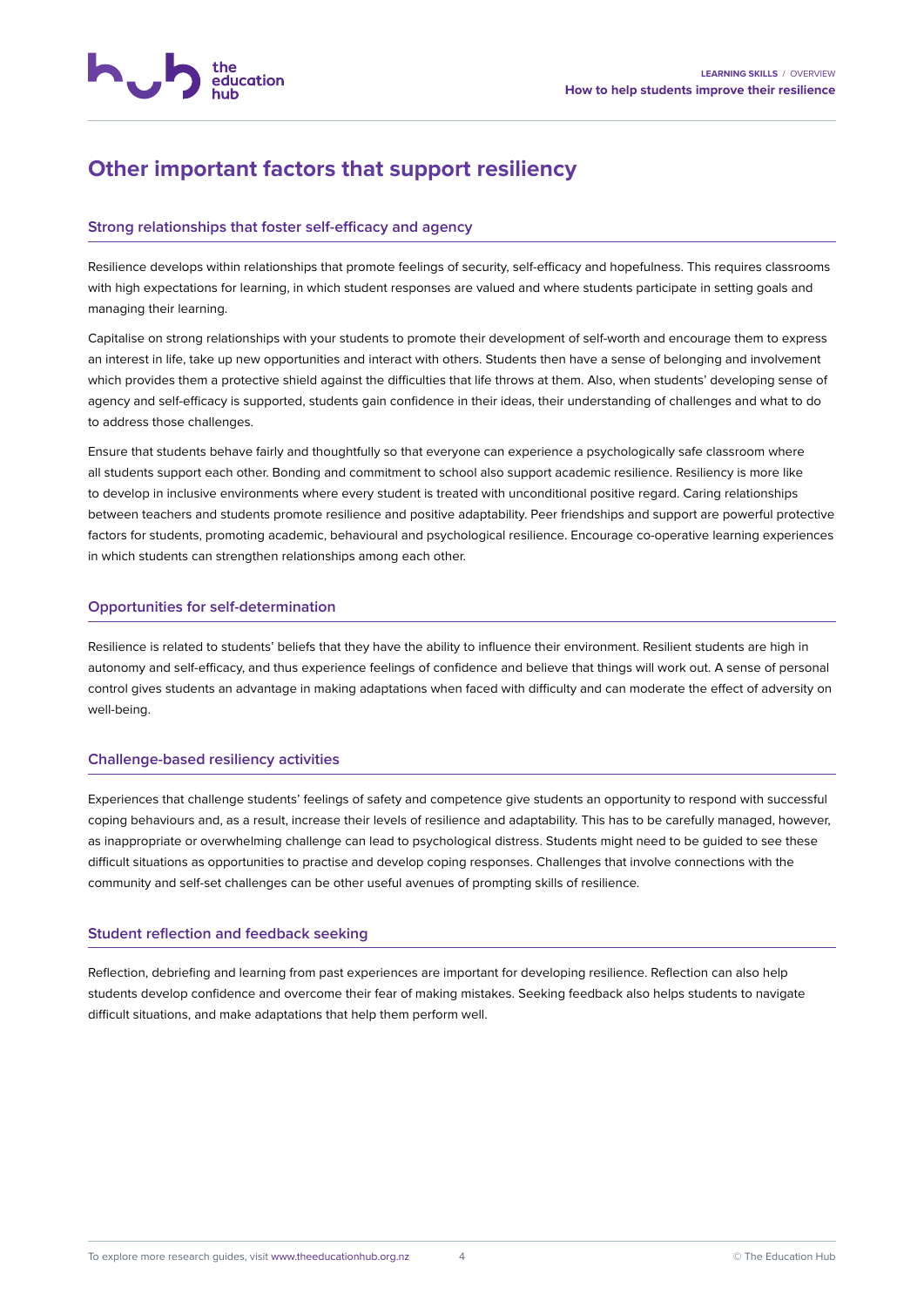

# **Other important factors that support resiliency**

## **Strong relationships that foster self-efficacy and agency**

Resilience develops within relationships that promote feelings of security, self-efficacy and hopefulness. This requires classrooms with high expectations for learning, in which student responses are valued and where students participate in setting goals and managing their learning.

Capitalise on strong relationships with your students to promote their development of self-worth and encourage them to express an interest in life, take up new opportunities and interact with others. Students then have a sense of belonging and involvement which provides them a protective shield against the difficulties that life throws at them. Also, when students' developing sense of agency and self-efficacy is supported, students gain confidence in their ideas, their understanding of challenges and what to do to address those challenges.

Ensure that students behave fairly and thoughtfully so that everyone can experience a psychologically safe classroom where all students support each other. Bonding and commitment to school also support academic resilience. Resiliency is more like to develop in inclusive environments where every student is treated with unconditional positive regard. Caring relationships between teachers and students promote resilience and positive adaptability. Peer friendships and support are powerful protective factors for students, promoting academic, behavioural and psychological resilience. Encourage co-operative learning experiences in which students can strengthen relationships among each other.

### **Opportunities for self-determination**

Resilience is related to students' beliefs that they have the ability to influence their environment. Resilient students are high in autonomy and self-efficacy, and thus experience feelings of confidence and believe that things will work out. A sense of personal control gives students an advantage in making adaptations when faced with difficulty and can moderate the effect of adversity on well-being.

### **Challenge-based resiliency activities**

Experiences that challenge students' feelings of safety and competence give students an opportunity to respond with successful coping behaviours and, as a result, increase their levels of resilience and adaptability. This has to be carefully managed, however, as inappropriate or overwhelming challenge can lead to psychological distress. Students might need to be guided to see these difficult situations as opportunities to practise and develop coping responses. Challenges that involve connections with the community and self-set challenges can be other useful avenues of prompting skills of resilience.

### **Student reflection and feedback seeking**

Reflection, debriefing and learning from past experiences are important for developing resilience. Reflection can also help students develop confidence and overcome their fear of making mistakes. Seeking feedback also helps students to navigate difficult situations, and make adaptations that help them perform well.